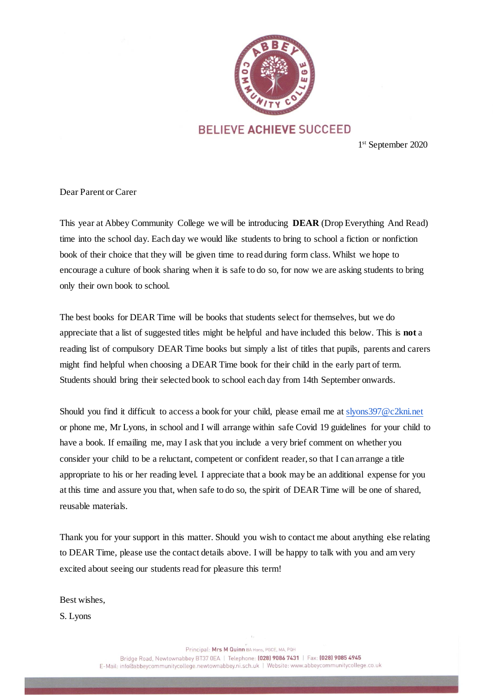

## **BELIEVE ACHIEVE SUCCEED**

1 st September 2020

Dear Parent or Carer

This year at Abbey Community College we will be introducing **DEAR** (Drop Everything And Read) time into the school day. Each day we would like students to bring to school a fiction or nonfiction book of their choice that they will be given time to read during form class. Whilst we hope to encourage a culture of book sharing when it is safe to do so, for now we are asking students to bring only their own book to school.

The best books for DEAR Time will be books that students select for themselves, but we do appreciate that a list of suggested titles might be helpful and have included this below. This is **not** a reading list of compulsory DEAR Time books but simply a list of titles that pupils, parents and carers might find helpful when choosing a DEAR Time book for their child in the early part of term. Students should bring their selected book to school each day from 14th September onwards.

Should you find it difficult to access a book for your child, please email me a[t slyons397@c2kni.net](mailto:slyons397@c2kni.net) or phone me, Mr Lyons, in school and I will arrange within safe Covid 19 guidelines for your child to have a book. If emailing me, may I ask that you include a very brief comment on whether you consider your child to be a reluctant, competent or confident reader, so that I can arrange a title appropriate to his or her reading level. I appreciate that a book may be an additional expense for you at this time and assure you that, when safe to do so, the spirit of DEAR Time will be one of shared, reusable materials.

Thank you for your support in this matter. Should you wish to contact me about anything else relating to DEAR Time, please use the contact details above. I will be happy to talk with you and am very excited about seeing our students read for pleasure this term!

Best wishes,

S. Lyons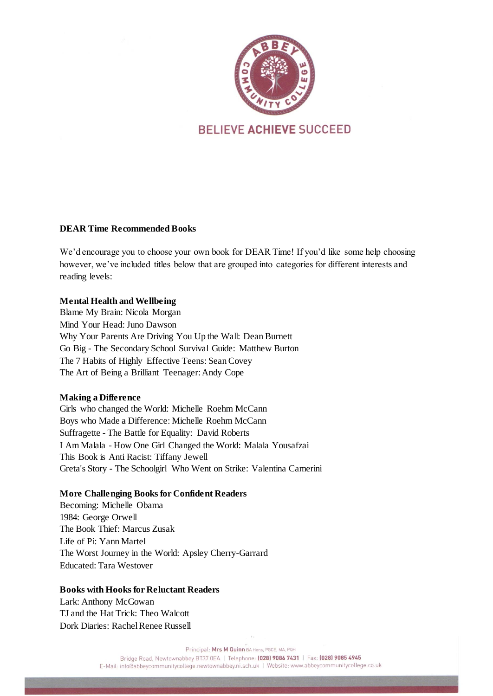

# **BELIEVE ACHIEVE SUCCEED**

## **DEAR Time Recommended Books**

We'd encourage you to choose your own book for DEAR Time! If you'd like some help choosing however, we've included titles below that are grouped into categories for different interests and reading levels:

#### **Mental Health and Wellbeing**

Blame My Brain: Nicola Morgan Mind Your Head: Juno Dawson Why Your Parents Are Driving You Up the Wall: Dean Burnett Go Big - The Secondary School Survival Guide: Matthew Burton The 7 Habits of Highly Effective Teens: Sean Covey The Art of Being a Brilliant Teenager: Andy Cope

#### **Making a Difference**

Girls who changed the World: Michelle Roehm McCann Boys who Made a Difference: Michelle Roehm McCann Suffragette - The Battle for Equality: David Roberts I Am Malala - How One Girl Changed the World: Malala Yousafzai This Book is Anti Racist: Tiffany Jewell Greta's Story - The Schoolgirl Who Went on Strike: Valentina Camerini

### **More Challenging Books for Confident Readers**

Becoming: Michelle Obama 1984: George Orwell The Book Thief: Marcus Zusak Life of Pi: Yann Martel The Worst Journey in the World: Apsley Cherry-Garrard Educated: Tara Westover

#### **Books with Hooks for Reluctant Readers**

Lark: Anthony McGowan TJ and the Hat Trick: Theo Walcott Dork Diaries: Rachel Renee Russell

Principal: Mrs M Quinn BA Hons, PGCE, MA, PQH

Bridge Road, Newtownabbey BT37 0EA | Telephone: (028) 9086 7431 | Fax: (028) 9085 4945

E-Mail: info@abbeycommunitycollege.newtownabbey.ni.sch.uk | Website: www.abbeycommunitycollege.co.uk